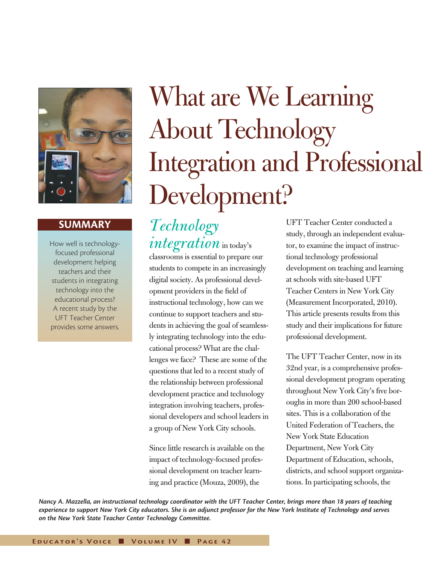

# **SUMMARY**

How well is technologyfocused professional development helping teachers and their students in integrating technology into the educational process? A recent study by the UFT Teacher Center provides some answers.

# What are We Learning About Technology Integration and Professional Development?

*Technology*   $\emph{integration}$  in today's

classrooms is essential to prepare our students to compete in an increasingly digital society. As professional development providers in the field of instructional technology, how can we continue to support teachers and students in achieving the goal of seamlessly integrating technology into the educational process? What are the challenges we face? These are some of the questions that led to a recent study of the relationship between professional development practice and technology integration involving teachers, professional developers and school leaders in a group of New York City schools.

Since little research is available on the impact of technology-focused professional development on teacher learning and practice (Mouza, 2009), the

UFT Teacher Center conducted a study, through an independent evaluator, to examine the impact of instructional technology professional development on teaching and learning at schools with site-based UFT Teacher Centers in New York City (Measurement Incorporated, 2010). This article presents results from this study and their implications for future professional development.

The UFT Teacher Center, now in its 32nd year, is a comprehensive professional development program operating throughout New York City's five boroughs in more than 200 school-based sites. This is a collaboration of the United Federation of Teachers, the New York State Education Department, New York City Department of Education, schools, districts, and school support organizations. In participating schools, the

*Nancy A. Mazzella, an instructional technology coordinator with the UFT Teacher Center, brings more than 18 years of teaching experience to support New York City educators. She is an adjunct professor for the New York Institute of Technology and serves on the New York State Teacher Center Technology Committee.*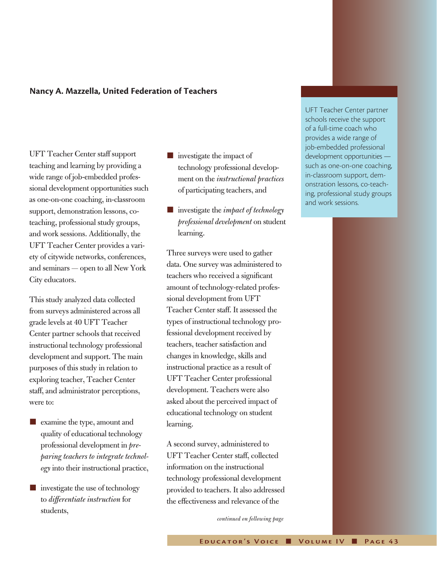#### **Nancy A. Mazzella, United Federation of Teachers**

UFT Teacher Center staff support teaching and learning by providing a wide range of job-embedded professional development opportunities such as one-on-one coaching, in-classroom support, demonstration lessons, coteaching, professional study groups, and work sessions. Additionally, the UFT Teacher Center provides a variety of citywide networks, conferences, and seminars — open to all New York City educators.

This study analyzed data collected from surveys administered across all grade levels at 40 UFT Teacher Center partner schools that received instructional technology professional development and support. The main purposes of this study in relation to exploring teacher, Teacher Center staff, and administrator perceptions, were to:

- **n** examine the type, amount and quality of educational technology professional development in *preparing teachers to integrate technology* into their instructional practice,
- $\blacksquare$  investigate the use of technology to *differentiate instruction* for students,
- $\blacksquare$  investigate the impact of technology professional development on the *instructional practices*  of participating teachers, and
- investigate the *impact of technology professional development* on student learning.

Three surveys were used to gather data. One survey was administered to teachers who received a significant amount of technology-related professional development from UFT Teacher Center staff. It assessed the types of instructional technology professional development received by teachers, teacher satisfaction and changes in knowledge, skills and instructional practice as a result of UFT Teacher Center professional development. Teachers were also asked about the perceived impact of educational technology on student learning.

A second survey, administered to UFT Teacher Center staff, collected information on the instructional technology professional development provided to teachers. It also addressed the effectiveness and relevance of the

*continued on following page*

UFT Teacher Center partner schools receive the support of a full-time coach who provides a wide range of job-embedded professional development opportunities such as one-on-one coaching, in-classroom support, demonstration lessons, co-teaching, professional study groups and work sessions.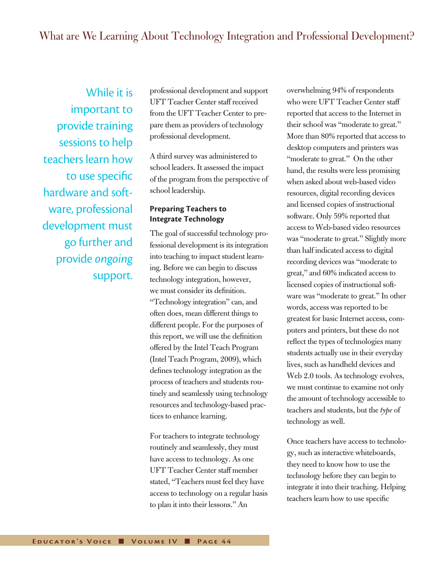# What are We Learning About Technology Integration and Professional Development?

While it is important to provide training sessions to help teachers learn how to use specific hardware and software, professional development must go further and provide *ongoing* support.

professional development and support UFT Teacher Center staff received from the UFT Teacher Center to prepare them as providers of technology professional development.

A third survey was administered to school leaders. It assessed the impact of the program from the perspective of school leadership.

### **Preparing Teachers to Integrate Technology**

The goal of successful technology professional development is its integration into teaching to impact student learning. Before we can begin to discuss technology integration, however, we must consider its definition. "Technology integration" can, and often does, mean different things to different people. For the purposes of this report, we will use the definition offered by the Intel Teach Program (Intel Teach Program, 2009), which defines technology integration as the process of teachers and students routinely and seamlessly using technology resources and technology-based practices to enhance learning.

For teachers to integrate technology routinely and seamlessly, they must have access to technology. As one UFT Teacher Center staff member stated, "Teachers must feel they have access to technology on a regular basis to plan it into their lessons." An

overwhelming 94% of respondents who were UFT Teacher Center staff reported that access to the Internet in their school was "moderate to great." More than 80% reported that access to desktop computers and printers was "moderate to great." On the other hand, the results were less promising when asked about web-based video resources, digital recording devices and licensed copies of instructional software. Only 59% reported that access to Web-based video resources was "moderate to great." Slightly more than half indicated access to digital recording devices was "moderate to great," and 60% indicated access to licensed copies of instructional software was "moderate to great." In other words, access was reported to be greatest for basic Internet access, computers and printers, but these do not reflect the types of technologies many students actually use in their everyday lives, such as handheld devices and Web 2.0 tools. As technology evolves, we must continue to examine not only the amount of technology accessible to teachers and students, but the *type* of technology as well.

Once teachers have access to technology, such as interactive whiteboards, they need to know how to use the technology before they can begin to integrate it into their teaching. Helping teachers learn how to use specific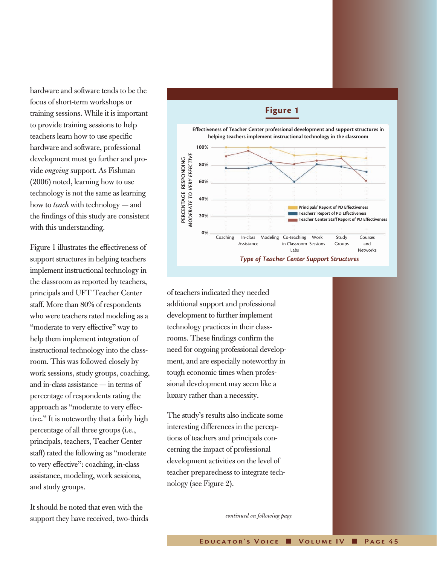hardware and software tends to be the focus of short-term workshops or training sessions. While it is important to provide training sessions to help teachers learn how to use specific hardware and software, professional development must go further and provide *ongoing* support. As Fishman (2006) noted, learning how to use technology is not the same as learning how to *teach* with technology — and the findings of this study are consistent with this understanding.

Figure 1 illustrates the effectiveness of support structures in helping teachers implement instructional technology in the classroom as reported by teachers, principals and UFT Teacher Center staff. More than 80% of respondents who were teachers rated modeling as a "moderate to very effective" way to help them implement integration of instructional technology into the classroom. This was followed closely by work sessions, study groups, coaching, and in-class assistance — in terms of percentage of respondents rating the approach as "moderate to very effective." It is noteworthy that a fairly high percentage of all three groups (i.e., principals, teachers, Teacher Center staff) rated the following as "moderate to very effective": coaching, in-class assistance, modeling, work sessions, and study groups.

It should be noted that even with the support they have received, two-thirds



of teachers indicated they needed additional support and professional development to further implement technology practices in their classrooms. These findings confirm the need for ongoing professional development, and are especially noteworthy in tough economic times when professional development may seem like a luxury rather than a necessity.

The study's results also indicate some interesting differences in the perceptions of teachers and principals concerning the impact of professional development activities on the level of teacher preparedness to integrate technology (see Figure 2).

*continued on following page*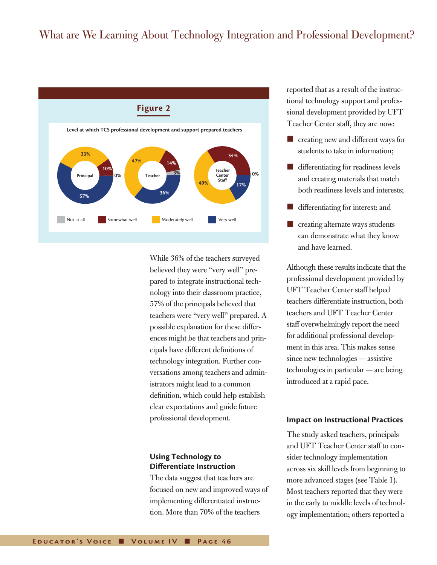# What are We Learning About Technology Integration and Professional Development?



While 36% of the teachers surveyed believed they were "very well" prepared to integrate instructional technology into their classroom practice, 57% of the principals believed that teachers were "very well" prepared. A possible explanation for these differences might be that teachers and principals have different definitions of technology integration. Further conversations among teachers and administrators might lead to a common definition, which could help establish clear expectations and guide future professional development.

## **Using Technology to Differentiate Instruction**

The data suggest that teachers are focused on new and improved ways of implementing differentiated instruction. More than 70% of the teachers

reported that as a result of the instructional technology support and professional development provided by UFT Teacher Center staff, they are now:

- $\blacksquare$  creating new and different ways for students to take in information;
- $\blacksquare$  differentiating for readiness levels and creating materials that match both readiness levels and interests;
- differentiating for interest; and
- $\blacksquare$  creating alternate ways students can demonstrate what they know and have learned.

Although these results indicate that the professional development provided by UFT Teacher Center staff helped teachers differentiate instruction, both teachers and UFT Teacher Center staff overwhelmingly report the need for additional professional development in this area. This makes sense since new technologies — assistive technologies in particular — are being introduced at a rapid pace.

#### **Impact on Instructional Practices**

The study asked teachers, principals and UFT Teacher Center staff to consider technology implementation across six skill levels from beginning to more advanced stages (see Table 1). Most teachers reported that they were in the early to middle levels of technology implementation; others reported a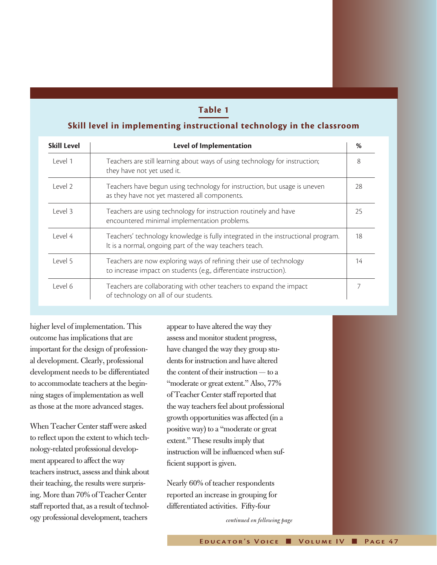## **Table 1**

#### **Skill level in implementing instructional technology in the classroom**

| <b>Skill Level</b> | <b>Level of Implementation</b>                                                                                                              | %  |
|--------------------|---------------------------------------------------------------------------------------------------------------------------------------------|----|
| Level 1            | Teachers are still learning about ways of using technology for instruction;<br>they have not yet used it.                                   | 8  |
| Level 2            | Teachers have begun using technology for instruction, but usage is uneven<br>as they have not yet mastered all components.                  | 28 |
| Level 3            | Teachers are using technology for instruction routinely and have<br>encountered minimal implementation problems.                            | 25 |
| Level 4            | Teachers' technology knowledge is fully integrated in the instructional program.<br>It is a normal, ongoing part of the way teachers teach. | 18 |
| Level 5            | Teachers are now exploring ways of refining their use of technology<br>to increase impact on students (e.g., differentiate instruction).    | 14 |
| Level 6            | Teachers are collaborating with other teachers to expand the impact<br>of technology on all of our students.                                |    |

higher level of implementation. This outcome has implications that are important for the design of professional development. Clearly, professional development needs to be differentiated to accommodate teachers at the beginning stages of implementation as well as those at the more advanced stages.

When Teacher Center staff were asked to reflect upon the extent to which technology-related professional development appeared to affect the way teachers instruct, assess and think about their teaching, the results were surprising. More than 70% of Teacher Center staff reported that, as a result of technology professional development, teachers

appear to have altered the way they assess and monitor student progress, have changed the way they group students for instruction and have altered the content of their instruction — to a "moderate or great extent." Also, 77% of Teacher Center staff reported that the way teachers feel about professional growth opportunities was affected (in a positive way) to a "moderate or great extent." These results imply that instruction will be influenced when sufficient support is given.

Nearly 60% of teacher respondents reported an increase in grouping for differentiated activities. Fifty-four

*continued on following page*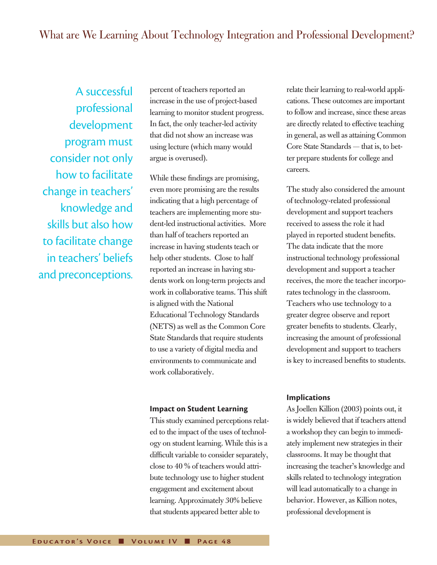A successful professional development program must consider not only how to facilitate change in teachers' knowledge and skills but also how to facilitate change in teachers' beliefs and preconceptions. percent of teachers reported an increase in the use of project-based learning to monitor student progress. In fact, the only teacher-led activity that did not show an increase was using lecture (which many would argue is overused).

While these findings are promising, even more promising are the results indicating that a high percentage of teachers are implementing more student-led instructional activities. More than half of teachers reported an increase in having students teach or help other students. Close to half reported an increase in having students work on long-term projects and work in collaborative teams. This shift is aligned with the National Educational Technology Standards (NETS) as well as the Common Core State Standards that require students to use a variety of digital media and environments to communicate and work collaboratively.

#### **Impact on Student Learning**

This study examined perceptions related to the impact of the uses of technology on student learning. While this is a difficult variable to consider separately, close to 40 % of teachers would attribute technology use to higher student engagement and excitement about learning. Approximately 30% believe that students appeared better able to

relate their learning to real-world applications. These outcomes are important to follow and increase, since these areas are directly related to effective teaching in general, as well as attaining Common Core State Standards — that is, to better prepare students for college and careers.

The study also considered the amount of technology-related professional development and support teachers received to assess the role it had played in reported student benefits. The data indicate that the more instructional technology professional development and support a teacher receives, the more the teacher incorporates technology in the classroom. Teachers who use technology to a greater degree observe and report greater benefits to students. Clearly, increasing the amount of professional development and support to teachers is key to increased benefits to students.

#### **Implications**

As Joellen Killion (2003) points out, it is widely believed that if teachers attend a workshop they can begin to immediately implement new strategies in their classrooms. It may be thought that increasing the teacher's knowledge and skills related to technology integration will lead automatically to a change in behavior. However, as Killion notes, professional development is